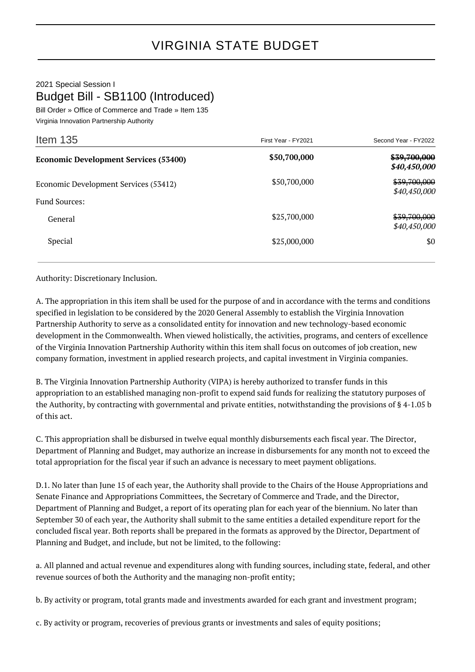## 2021 Special Session I Budget Bill - SB1100 (Introduced)

Bill Order » Office of Commerce and Trade » Item 135 Virginia Innovation Partnership Authority

| Item $135$                                   | First Year - FY2021 | Second Year - FY2022                    |
|----------------------------------------------|---------------------|-----------------------------------------|
| <b>Economic Development Services (53400)</b> | \$50,700,000        | <del>\$39,700,000</del><br>\$40,450,000 |
| Economic Development Services (53412)        | \$50,700,000        | <del>\$39,700,000</del><br>\$40,450,000 |
| <b>Fund Sources:</b>                         | \$25,700,000        | <del>\$39,700,000</del>                 |
| General                                      |                     | \$40,450,000                            |
| Special                                      | \$25,000,000        | \$0                                     |

Authority: Discretionary Inclusion.

A. The appropriation in this item shall be used for the purpose of and in accordance with the terms and conditions specified in legislation to be considered by the 2020 General Assembly to establish the Virginia Innovation Partnership Authority to serve as a consolidated entity for innovation and new technology-based economic development in the Commonwealth. When viewed holistically, the activities, programs, and centers of excellence of the Virginia Innovation Partnership Authority within this item shall focus on outcomes of job creation, new company formation, investment in applied research projects, and capital investment in Virginia companies.

B. The Virginia Innovation Partnership Authority (VIPA) is hereby authorized to transfer funds in this appropriation to an established managing non-profit to expend said funds for realizing the statutory purposes of the Authority, by contracting with governmental and private entities, notwithstanding the provisions of § 4-1.05 b of this act.

C. This appropriation shall be disbursed in twelve equal monthly disbursements each fiscal year. The Director, Department of Planning and Budget, may authorize an increase in disbursements for any month not to exceed the total appropriation for the fiscal year if such an advance is necessary to meet payment obligations.

D.1. No later than June 15 of each year, the Authority shall provide to the Chairs of the House Appropriations and Senate Finance and Appropriations Committees, the Secretary of Commerce and Trade, and the Director, Department of Planning and Budget, a report of its operating plan for each year of the biennium. No later than September 30 of each year, the Authority shall submit to the same entities a detailed expenditure report for the concluded fiscal year. Both reports shall be prepared in the formats as approved by the Director, Department of Planning and Budget, and include, but not be limited, to the following:

a. All planned and actual revenue and expenditures along with funding sources, including state, federal, and other revenue sources of both the Authority and the managing non-profit entity;

b. By activity or program, total grants made and investments awarded for each grant and investment program;

c. By activity or program, recoveries of previous grants or investments and sales of equity positions;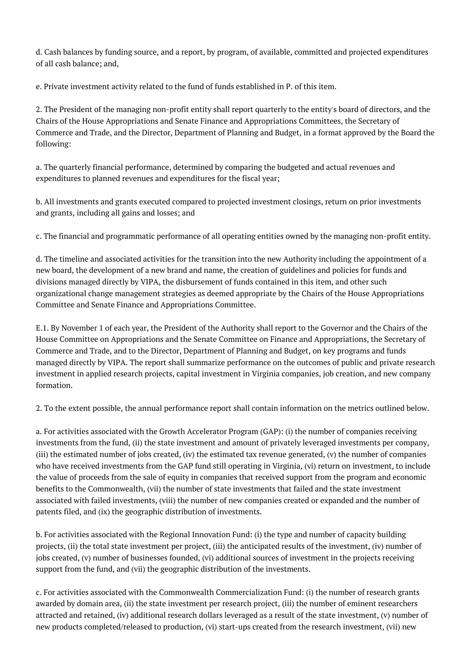d. Cash balances by funding source, and a report, by program, of available, committed and projected expenditures of all cash balance; and,

e. Private investment activity related to the fund of funds established in P. of this item.

2. The President of the managing non-profit entity shall report quarterly to the entity's board of directors, and the Chairs of the House Appropriations and Senate Finance and Appropriations Committees, the Secretary of Commerce and Trade, and the Director, Department of Planning and Budget, in a format approved by the Board the following:

a. The quarterly financial performance, determined by comparing the budgeted and actual revenues and expenditures to planned revenues and expenditures for the fiscal year;

b. All investments and grants executed compared to projected investment closings, return on prior investments and grants, including all gains and losses; and

c. The financial and programmatic performance of all operating entities owned by the managing non-profit entity.

d. The timeline and associated activities for the transition into the new Authority including the appointment of a new board, the development of a new brand and name, the creation of guidelines and policies for funds and divisions managed directly by VIPA, the disbursement of funds contained in this item, and other such organizational change management strategies as deemed appropriate by the Chairs of the House Appropriations Committee and Senate Finance and Appropriations Committee.

E.1. By November 1 of each year, the President of the Authority shall report to the Governor and the Chairs of the House Committee on Appropriations and the Senate Committee on Finance and Appropriations, the Secretary of Commerce and Trade, and to the Director, Department of Planning and Budget, on key programs and funds managed directly by VIPA. The report shall summarize performance on the outcomes of public and private research investment in applied research projects, capital investment in Virginia companies, job creation, and new company formation.

2. To the extent possible, the annual performance report shall contain information on the metrics outlined below.

a. For activities associated with the Growth Accelerator Program (GAP): (i) the number of companies receiving investments from the fund, (ii) the state investment and amount of privately leveraged investments per company, (iii) the estimated number of jobs created, (iv) the estimated tax revenue generated, (v) the number of companies who have received investments from the GAP fund still operating in Virginia, (vi) return on investment, to include the value of proceeds from the sale of equity in companies that received support from the program and economic benefits to the Commonwealth, (vii) the number of state investments that failed and the state investment associated with failed investments, (viii) the number of new companies created or expanded and the number of patents filed, and (ix) the geographic distribution of investments.

b. For activities associated with the Regional Innovation Fund: (i) the type and number of capacity building projects, (ii) the total state investment per project, (iii) the anticipated results of the investment, (iv) number of jobs created, (v) number of businesses founded, (vi) additional sources of investment in the projects receiving support from the fund, and (vii) the geographic distribution of the investments.

c. For activities associated with the Commonwealth Commercialization Fund: (i) the number of research grants awarded by domain area, (ii) the state investment per research project, (iii) the number of eminent researchers attracted and retained, (iv) additional research dollars leveraged as a result of the state investment, (v) number of new products completed/released to production, (vi) start-ups created from the research investment, (vii) new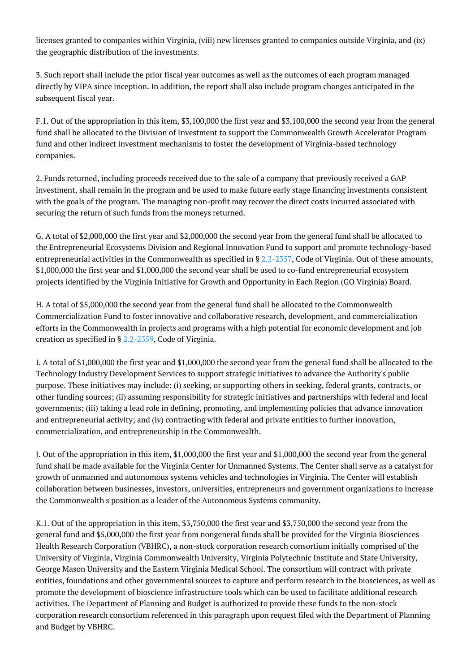licenses granted to companies within Virginia, (viii) new licenses granted to companies outside Virginia, and (ix) the geographic distribution of the investments.

3. Such report shall include the prior fiscal year outcomes as well as the outcomes of each program managed directly by VIPA since inception. In addition, the report shall also include program changes anticipated in the subsequent fiscal year.

F.1. Out of the appropriation in this item, \$3,100,000 the first year and \$3,100,000 the second year from the general fund shall be allocated to the Division of Investment to support the Commonwealth Growth Accelerator Program fund and other indirect investment mechanisms to foster the development of Virginia-based technology companies.

2. Funds returned, including proceeds received due to the sale of a company that previously received a GAP investment, shall remain in the program and be used to make future early stage financing investments consistent with the goals of the program. The managing non-profit may recover the direct costs incurred associated with securing the return of such funds from the moneys returned.

G. A total of \$2,000,000 the first year and \$2,000,000 the second year from the general fund shall be allocated to the Entrepreneurial Ecosystems Division and Regional Innovation Fund to support and promote technology-based entrepreneurial activities in the Commonwealth as specified in § [2.2-2357](http://law.lis.virginia.gov/vacode/2.2-2357/), Code of Virginia. Out of these amounts, \$1,000,000 the first year and \$1,000,000 the second year shall be used to co-fund entrepreneurial ecosystem projects identified by the Virginia Initiative for Growth and Opportunity in Each Region (GO Virginia) Board.

H. A total of \$5,000,000 the second year from the general fund shall be allocated to the Commonwealth Commercialization Fund to foster innovative and collaborative research, development, and commercialization efforts in the Commonwealth in projects and programs with a high potential for economic development and job creation as specified in § [2.2-2359](http://law.lis.virginia.gov/vacode/2.2-2359/), Code of Virginia.

I. A total of \$1,000,000 the first year and \$1,000,000 the second year from the general fund shall be allocated to the Technology Industry Development Services to support strategic initiatives to advance the Authority's public purpose. These initiatives may include: (i) seeking, or supporting others in seeking, federal grants, contracts, or other funding sources; (ii) assuming responsibility for strategic initiatives and partnerships with federal and local governments; (iii) taking a lead role in defining, promoting, and implementing policies that advance innovation and entrepreneurial activity; and (iv) contracting with federal and private entities to further innovation, commercialization, and entrepreneurship in the Commonwealth.

J. Out of the appropriation in this item, \$1,000,000 the first year and \$1,000,000 the second year from the general fund shall be made available for the Virginia Center for Unmanned Systems. The Center shall serve as a catalyst for growth of unmanned and autonomous systems vehicles and technologies in Virginia. The Center will establish collaboration between businesses, investors, universities, entrepreneurs and government organizations to increase the Commonwealth's position as a leader of the Autonomous Systems community.

K.1. Out of the appropriation in this item, \$3,750,000 the first year and \$3,750,000 the second year from the general fund and \$5,000,000 the first year from nongeneral funds shall be provided for the Virginia Biosciences Health Research Corporation (VBHRC), a non-stock corporation research consortium initially comprised of the University of Virginia, Virginia Commonwealth University, Virginia Polytechnic Institute and State University, George Mason University and the Eastern Virginia Medical School. The consortium will contract with private entities, foundations and other governmental sources to capture and perform research in the biosciences, as well as promote the development of bioscience infrastructure tools which can be used to facilitate additional research activities. The Department of Planning and Budget is authorized to provide these funds to the non-stock corporation research consortium referenced in this paragraph upon request filed with the Department of Planning and Budget by VBHRC.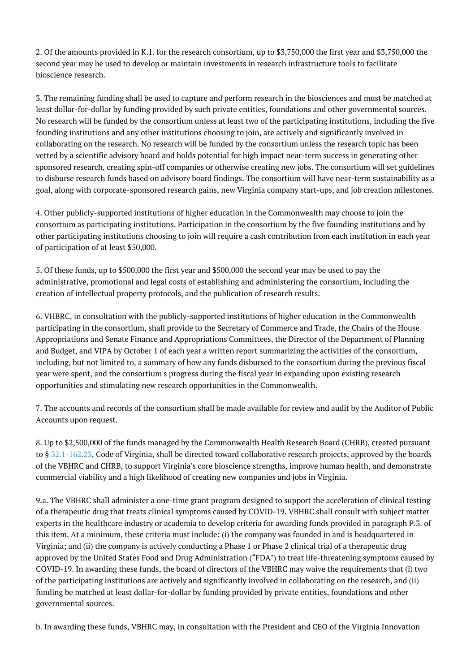2. Of the amounts provided in K.1. for the research consortium, up to \$3,750,000 the first year and \$3,750,000 the second year may be used to develop or maintain investments in research infrastructure tools to facilitate bioscience research.

3. The remaining funding shall be used to capture and perform research in the biosciences and must be matched at least dollar-for-dollar by funding provided by such private entities, foundations and other governmental sources. No research will be funded by the consortium unless at least two of the participating institutions, including the five founding institutions and any other institutions choosing to join, are actively and significantly involved in collaborating on the research. No research will be funded by the consortium unless the research topic has been vetted by a scientific advisory board and holds potential for high impact near-term success in generating other sponsored research, creating spin-off companies or otherwise creating new jobs. The consortium will set guidelines to disburse research funds based on advisory board findings. The consortium will have near-term sustainability as a goal, along with corporate-sponsored research gains, new Virginia company start-ups, and job creation milestones.

4. Other publicly-supported institutions of higher education in the Commonwealth may choose to join the consortium as participating institutions. Participation in the consortium by the five founding institutions and by other participating institutions choosing to join will require a cash contribution from each institution in each year of participation of at least \$50,000.

5. Of these funds, up to \$500,000 the first year and \$500,000 the second year may be used to pay the administrative, promotional and legal costs of establishing and administering the consortium, including the creation of intellectual property protocols, and the publication of research results.

6. VHBRC, in consultation with the publicly-supported institutions of higher education in the Commonwealth participating in the consortium, shall provide to the Secretary of Commerce and Trade, the Chairs of the House Appropriations and Senate Finance and Appropriations Committees, the Director of the Department of Planning and Budget, and VIPA by October 1 of each year a written report summarizing the activities of the consortium, including, but not limited to, a summary of how any funds disbursed to the consortium during the previous fiscal year were spent, and the consortium's progress during the fiscal year in expanding upon existing research opportunities and stimulating new research opportunities in the Commonwealth.

7. The accounts and records of the consortium shall be made available for review and audit by the Auditor of Public Accounts upon request.

8. Up to \$2,500,000 of the funds managed by the Commonwealth Health Research Board (CHRB), created pursuant to § [32.1-162.23](http://law.lis.virginia.gov/vacode/32.1-162.23/), Code of Virginia, shall be directed toward collaborative research projects, approved by the boards of the VBHRC and CHRB, to support Virginia's core bioscience strengths, improve human health, and demonstrate commercial viability and a high likelihood of creating new companies and jobs in Virginia.

9.a. The VBHRC shall administer a one-time grant program designed to support the acceleration of clinical testing of a therapeutic drug that treats clinical symptoms caused by COVID-19. VBHRC shall consult with subject matter experts in the healthcare industry or academia to develop criteria for awarding funds provided in paragraph P.3. of this item. At a minimum, these criteria must include: (i) the company was founded in and is headquartered in Virginia; and (ii) the company is actively conducting a Phase 1 or Phase 2 clinical trial of a therapeutic drug approved by the United States Food and Drug Administration ("FDA") to treat life-threatening symptoms caused by COVID-19. In awarding these funds, the board of directors of the VBHRC may waive the requirements that (i) two of the participating institutions are actively and significantly involved in collaborating on the research, and (ii) funding be matched at least dollar-for-dollar by funding provided by private entities, foundations and other governmental sources.

b. In awarding these funds, VBHRC may, in consultation with the President and CEO of the Virginia Innovation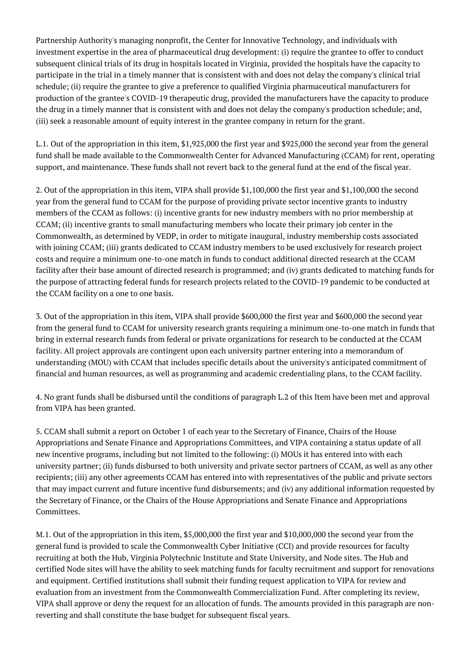Partnership Authority's managing nonprofit, the Center for Innovative Technology, and individuals with investment expertise in the area of pharmaceutical drug development: (i) require the grantee to offer to conduct subsequent clinical trials of its drug in hospitals located in Virginia, provided the hospitals have the capacity to participate in the trial in a timely manner that is consistent with and does not delay the company's clinical trial schedule; (ii) require the grantee to give a preference to qualified Virginia pharmaceutical manufacturers for production of the grantee's COVID-19 therapeutic drug, provided the manufacturers have the capacity to produce the drug in a timely manner that is consistent with and does not delay the company's production schedule; and, (iii) seek a reasonable amount of equity interest in the grantee company in return for the grant.

L.1. Out of the appropriation in this item, \$1,925,000 the first year and \$925,000 the second year from the general fund shall be made available to the Commonwealth Center for Advanced Manufacturing (CCAM) for rent, operating support, and maintenance. These funds shall not revert back to the general fund at the end of the fiscal year.

2. Out of the appropriation in this item, VIPA shall provide \$1,100,000 the first year and \$1,100,000 the second year from the general fund to CCAM for the purpose of providing private sector incentive grants to industry members of the CCAM as follows: (i) incentive grants for new industry members with no prior membership at CCAM; (ii) incentive grants to small manufacturing members who locate their primary job center in the Commonwealth, as determined by VEDP, in order to mitigate inaugural, industry membership costs associated with joining CCAM; (iii) grants dedicated to CCAM industry members to be used exclusively for research project costs and require a minimum one-to-one match in funds to conduct additional directed research at the CCAM facility after their base amount of directed research is programmed; and (iv) grants dedicated to matching funds for the purpose of attracting federal funds for research projects related to the COVID-19 pandemic to be conducted at the CCAM facility on a one to one basis.

3. Out of the appropriation in this item, VIPA shall provide \$600,000 the first year and \$600,000 the second year from the general fund to CCAM for university research grants requiring a minimum one-to-one match in funds that bring in external research funds from federal or private organizations for research to be conducted at the CCAM facility. All project approvals are contingent upon each university partner entering into a memorandum of understanding (MOU) with CCAM that includes specific details about the university's anticipated commitment of financial and human resources, as well as programming and academic credentialing plans, to the CCAM facility.

4. No grant funds shall be disbursed until the conditions of paragraph L.2 of this Item have been met and approval from VIPA has been granted.

5. CCAM shall submit a report on October 1 of each year to the Secretary of Finance, Chairs of the House Appropriations and Senate Finance and Appropriations Committees, and VIPA containing a status update of all new incentive programs, including but not limited to the following: (i) MOUs it has entered into with each university partner; (ii) funds disbursed to both university and private sector partners of CCAM, as well as any other recipients; (iii) any other agreements CCAM has entered into with representatives of the public and private sectors that may impact current and future incentive fund disbursements; and (iv) any additional information requested by the Secretary of Finance, or the Chairs of the House Appropriations and Senate Finance and Appropriations Committees.

M.1. Out of the appropriation in this item, \$5,000,000 the first year and \$10,000,000 the second year from the general fund is provided to scale the Commonwealth Cyber Initiative (CCI) and provide resources for faculty recruiting at both the Hub, Virginia Polytechnic Institute and State University, and Node sites. The Hub and certified Node sites will have the ability to seek matching funds for faculty recruitment and support for renovations and equipment. Certified institutions shall submit their funding request application to VIPA for review and evaluation from an investment from the Commonwealth Commercialization Fund. After completing its review, VIPA shall approve or deny the request for an allocation of funds. The amounts provided in this paragraph are nonreverting and shall constitute the base budget for subsequent fiscal years.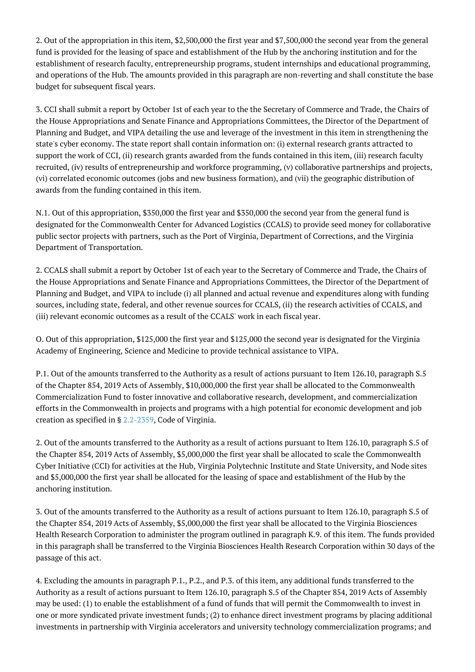2. Out of the appropriation in this item, \$2,500,000 the first year and \$7,500,000 the second year from the general fund is provided for the leasing of space and establishment of the Hub by the anchoring institution and for the establishment of research faculty, entrepreneurship programs, student internships and educational programming, and operations of the Hub. The amounts provided in this paragraph are non-reverting and shall constitute the base budget for subsequent fiscal years.

3. CCI shall submit a report by October 1st of each year to the the Secretary of Commerce and Trade, the Chairs of the House Appropriations and Senate Finance and Appropriations Committees, the Director of the Department of Planning and Budget, and VIPA detailing the use and leverage of the investment in this item in strengthening the state's cyber economy. The state report shall contain information on: (i) external research grants attracted to support the work of CCI, (ii) research grants awarded from the funds contained in this item, (iii) research faculty recruited, (iv) results of entrepreneurship and workforce programming, (v) collaborative partnerships and projects, (vi) correlated economic outcomes (jobs and new business formation), and (vii) the geographic distribution of awards from the funding contained in this item.

N.1. Out of this appropriation, \$350,000 the first year and \$350,000 the second year from the general fund is designated for the Commonwealth Center for Advanced Logistics (CCALS) to provide seed money for collaborative public sector projects with partners, such as the Port of Virginia, Department of Corrections, and the Virginia Department of Transportation.

2. CCALS shall submit a report by October 1st of each year to the Secretary of Commerce and Trade, the Chairs of the House Appropriations and Senate Finance and Appropriations Committees, the Director of the Department of Planning and Budget, and VIPA to include (i) all planned and actual revenue and expenditures along with funding sources, including state, federal, and other revenue sources for CCALS, (ii) the research activities of CCALS, and (iii) relevant economic outcomes as a result of the CCALS' work in each fiscal year.

O. Out of this appropriation, \$125,000 the first year and \$125,000 the second year is designated for the Virginia Academy of Engineering, Science and Medicine to provide technical assistance to VIPA.

P.1. Out of the amounts transferred to the Authority as a result of actions pursuant to Item 126.10, paragraph S.5 of the Chapter 854, 2019 Acts of Assembly, \$10,000,000 the first year shall be allocated to the Commonwealth Commercialization Fund to foster innovative and collaborative research, development, and commercialization efforts in the Commonwealth in projects and programs with a high potential for economic development and job creation as specified in § [2.2-2359](http://law.lis.virginia.gov/vacode/2.2-2359/), Code of Virginia.

2. Out of the amounts transferred to the Authority as a result of actions pursuant to Item 126.10, paragraph S.5 of the Chapter 854, 2019 Acts of Assembly, \$5,000,000 the first year shall be allocated to scale the Commonwealth Cyber Initiative (CCI) for activities at the Hub, Virginia Polytechnic Institute and State University, and Node sites and \$5,000,000 the first year shall be allocated for the leasing of space and establishment of the Hub by the anchoring institution.

3. Out of the amounts transferred to the Authority as a result of actions pursuant to Item 126.10, paragraph S.5 of the Chapter 854, 2019 Acts of Assembly, \$5,000,000 the first year shall be allocated to the Virginia Biosciences Health Research Corporation to administer the program outlined in paragraph K.9. of this item. The funds provided in this paragraph shall be transferred to the Virginia Biosciences Health Research Corporation within 30 days of the passage of this act.

4. Excluding the amounts in paragraph P.1., P.2., and P.3. of this item, any additional funds transferred to the Authority as a result of actions pursuant to Item 126.10, paragraph S.5 of the Chapter 854, 2019 Acts of Assembly may be used: (1) to enable the establishment of a fund of funds that will permit the Commonwealth to invest in one or more syndicated private investment funds; (2) to enhance direct investment programs by placing additional investments in partnership with Virginia accelerators and university technology commercialization programs; and